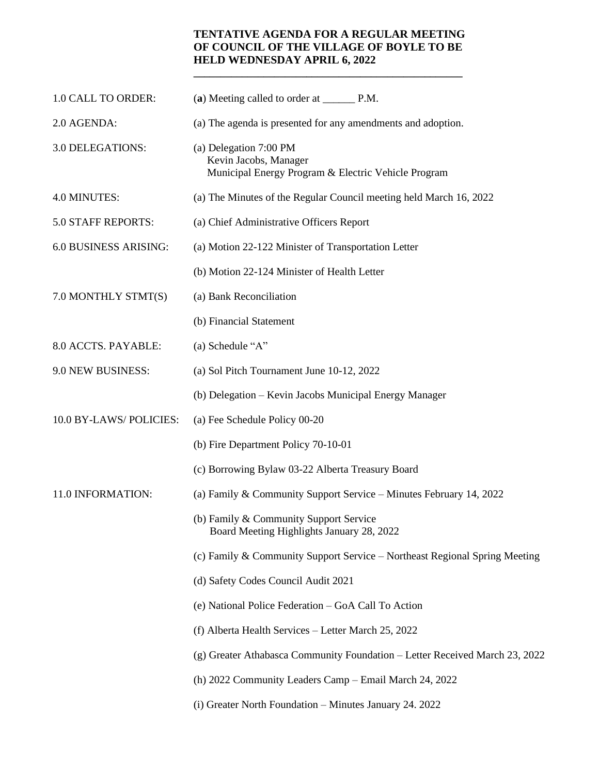## **TENTATIVE AGENDA FOR A REGULAR MEETING OF COUNCIL OF THE VILLAGE OF BOYLE TO BE HELD WEDNESDAY APRIL 6, 2022**

**\_\_\_\_\_\_\_\_\_\_\_\_\_\_\_\_\_\_\_\_\_\_\_\_\_\_\_\_\_\_\_\_\_\_\_\_\_\_\_\_\_\_\_\_\_\_\_\_\_\_**

| 1.0 CALL TO ORDER:     | (a) Meeting called to order at _________ P.M.                                                          |
|------------------------|--------------------------------------------------------------------------------------------------------|
| 2.0 AGENDA:            | (a) The agenda is presented for any amendments and adoption.                                           |
| 3.0 DELEGATIONS:       | (a) Delegation 7:00 PM<br>Kevin Jacobs, Manager<br>Municipal Energy Program & Electric Vehicle Program |
| 4.0 MINUTES:           | (a) The Minutes of the Regular Council meeting held March 16, 2022                                     |
| 5.0 STAFF REPORTS:     | (a) Chief Administrative Officers Report                                                               |
| 6.0 BUSINESS ARISING:  | (a) Motion 22-122 Minister of Transportation Letter                                                    |
|                        | (b) Motion 22-124 Minister of Health Letter                                                            |
| 7.0 MONTHLY STMT(S)    | (a) Bank Reconciliation                                                                                |
|                        | (b) Financial Statement                                                                                |
| 8.0 ACCTS. PAYABLE:    | (a) Schedule "A"                                                                                       |
| 9.0 NEW BUSINESS:      | (a) Sol Pitch Tournament June 10-12, 2022                                                              |
|                        | (b) Delegation - Kevin Jacobs Municipal Energy Manager                                                 |
| 10.0 BY-LAWS/POLICIES: | (a) Fee Schedule Policy 00-20                                                                          |
|                        | (b) Fire Department Policy 70-10-01                                                                    |
|                        | (c) Borrowing Bylaw 03-22 Alberta Treasury Board                                                       |
| 11.0 INFORMATION:      | (a) Family & Community Support Service – Minutes February 14, 2022                                     |
|                        | (b) Family & Community Support Service<br>Board Meeting Highlights January 28, 2022                    |
|                        | (c) Family & Community Support Service – Northeast Regional Spring Meeting                             |
|                        | (d) Safety Codes Council Audit 2021                                                                    |
|                        | (e) National Police Federation - GoA Call To Action                                                    |
|                        | (f) Alberta Health Services - Letter March 25, 2022                                                    |
|                        | (g) Greater Athabasca Community Foundation – Letter Received March 23, 2022                            |
|                        | (h) 2022 Community Leaders Camp – Email March 24, 2022                                                 |
|                        | (i) Greater North Foundation - Minutes January 24. 2022                                                |